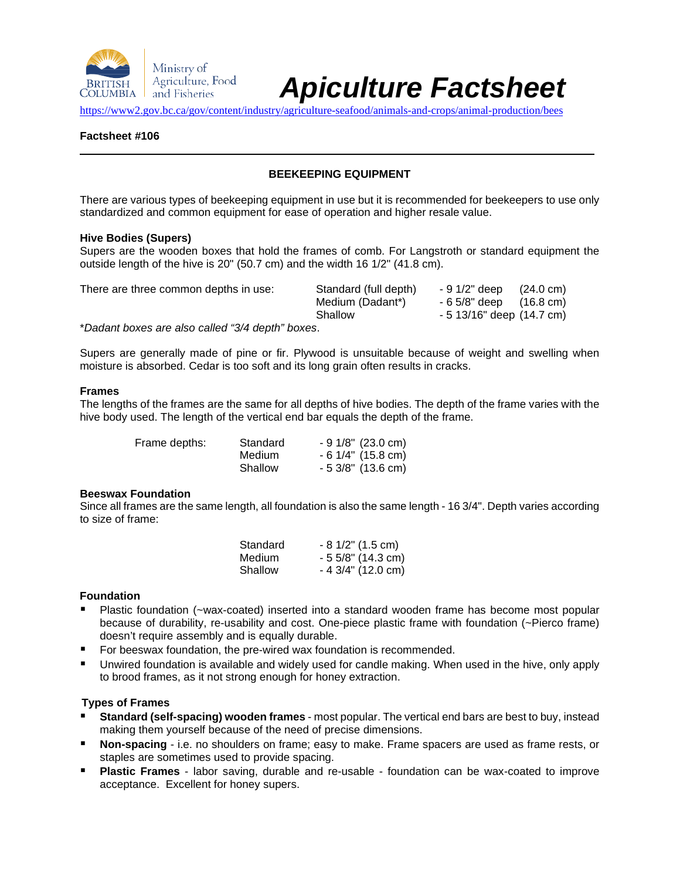

# *Apiculture Factsheet*

<https://www2.gov.bc.ca/gov/content/industry/agriculture-seafood/animals-and-crops/animal-production/bees>

## **Factsheet #106**

## **BEEKEEPING EQUIPMENT**

There are various types of beekeeping equipment in use but it is recommended for beekeepers to use only standardized and common equipment for ease of operation and higher resale value.

#### **Hive Bodies (Supers)**

Supers are the wooden boxes that hold the frames of comb. For Langstroth or standard equipment the outside length of the hive is 20" (50.7 cm) and the width 16 1/2" (41.8 cm).

| There are three common depths in use:                                    | Standard (full depth) | - 9 1/2" deep                      | (24.0 cm) |
|--------------------------------------------------------------------------|-----------------------|------------------------------------|-----------|
|                                                                          | Medium (Dadant*)      | $-65/8$ " deep $(16.8 \text{ cm})$ |           |
|                                                                          | Shallow               | - 5 13/16" deep (14.7 cm)          |           |
| $*$ Declaration in a series and selling the control of the series of $*$ |                       |                                    |           |

\**Dadant boxes are also called "3/4 depth" boxes*.

Supers are generally made of pine or fir. Plywood is unsuitable because of weight and swelling when moisture is absorbed. Cedar is too soft and its long grain often results in cracks.

#### **Frames**

The lengths of the frames are the same for all depths of hive bodies. The depth of the frame varies with the hive body used. The length of the vertical end bar equals the depth of the frame.

| Frame depths: | Standard | $-91/8$ " (23.0 cm) |
|---------------|----------|---------------------|
|               | Medium   | $-6$ 1/4" (15.8 cm) |
|               | Shallow  | $-53/8$ " (13.6 cm) |

## **Beeswax Foundation**

Since all frames are the same length, all foundation is also the same length - 16 3/4". Depth varies according to size of frame:

| Standard | $-81/2$ " (1.5 cm)  |
|----------|---------------------|
| Medium   | $-55/8$ " (14.3 cm) |
| Shallow  | $-43/4$ " (12.0 cm) |

## **Foundation**

- Plastic foundation (~wax-coated) inserted into a standard wooden frame has become most popular because of durability, re-usability and cost. One-piece plastic frame with foundation (~Pierco frame) doesn't require assembly and is equally durable.
- For beeswax foundation, the pre-wired wax foundation is recommended.
- Unwired foundation is available and widely used for candle making. When used in the hive, only apply to brood frames, as it not strong enough for honey extraction.

## **Types of Frames**

- **Standard (self-spacing) wooden frames** most popular. The vertical end bars are best to buy, instead making them yourself because of the need of precise dimensions.
- **Non-spacing** i.e. no shoulders on frame; easy to make. Frame spacers are used as frame rests, or staples are sometimes used to provide spacing.
- **Plastic Frames** labor saving, durable and re-usable foundation can be wax-coated to improve acceptance. Excellent for honey supers.